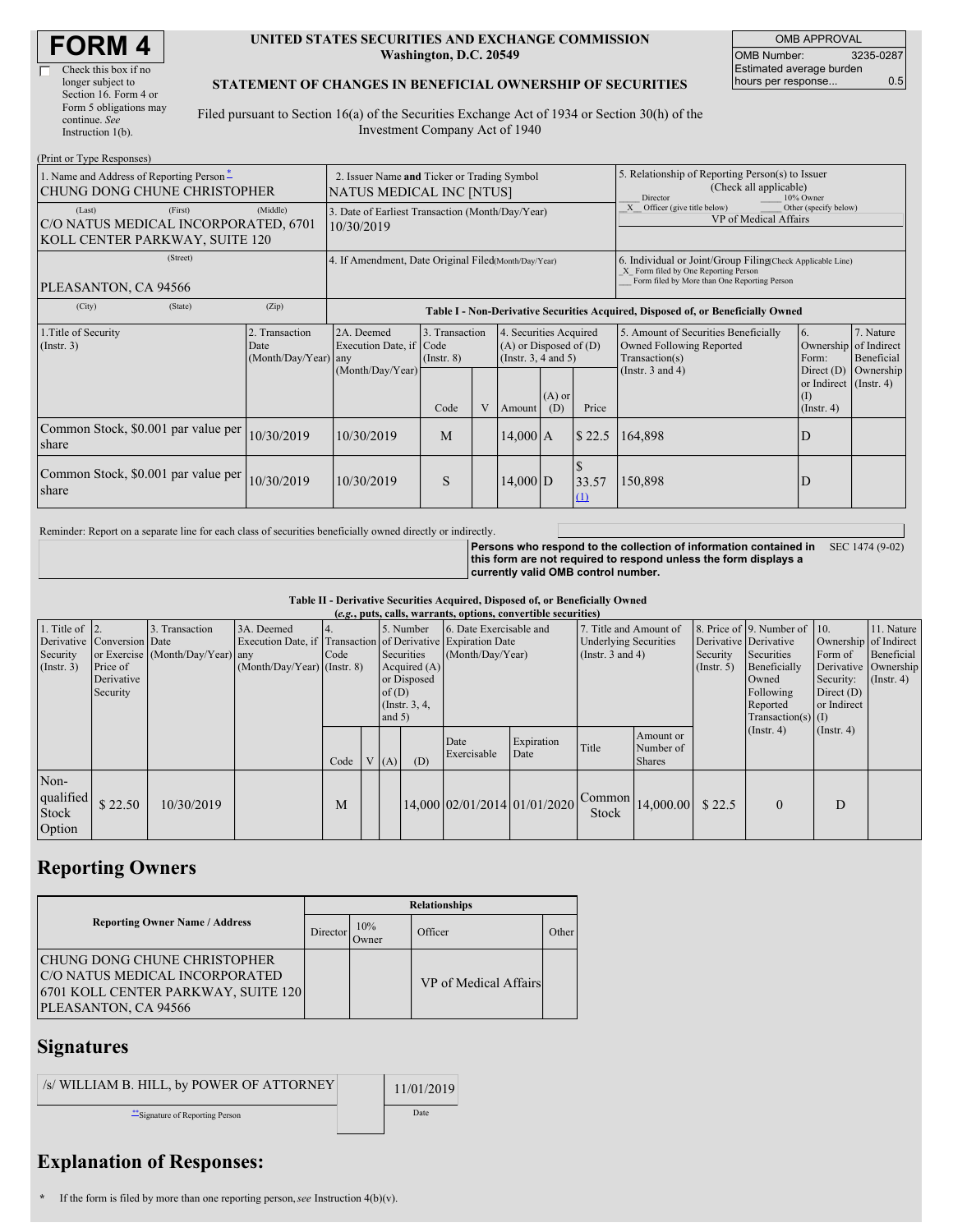| <b>FORM4</b> |  |
|--------------|--|
|--------------|--|

#### **UNITED STATES SECURITIES AND EXCHANGE COMMISSION Washington, D.C. 20549**

OMB APPROVAL OMB Number: 3235-0287 Estimated average burden hours per response... 0.5

#### **STATEMENT OF CHANGES IN BENEFICIAL OWNERSHIP OF SECURITIES**

Filed pursuant to Section 16(a) of the Securities Exchange Act of 1934 or Section 30(h) of the Investment Company Act of 1940

| (Print or Type Responses)                                                                   |                                                |                                                                                  |                                   |              |                                                                                  |  |                                                                                                                                                    |                                                                                    |                                                          |                         |  |
|---------------------------------------------------------------------------------------------|------------------------------------------------|----------------------------------------------------------------------------------|-----------------------------------|--------------|----------------------------------------------------------------------------------|--|----------------------------------------------------------------------------------------------------------------------------------------------------|------------------------------------------------------------------------------------|----------------------------------------------------------|-------------------------|--|
| 1. Name and Address of Reporting Person-<br>CHUNG DONG CHUNE CHRISTOPHER                    |                                                | 2. Issuer Name and Ticker or Trading Symbol<br><b>NATUS MEDICAL INC [NTUS]</b>   |                                   |              |                                                                                  |  | 5. Relationship of Reporting Person(s) to Issuer<br>(Check all applicable)<br>10% Owner<br>Director                                                |                                                                                    |                                                          |                         |  |
| (First)<br>(Last)<br>C/O NATUS MEDICAL INCORPORATED, 6701<br>KOLL CENTER PARKWAY, SUITE 120 | (Middle)                                       | 3. Date of Earliest Transaction (Month/Day/Year)<br>10/30/2019                   |                                   |              |                                                                                  |  |                                                                                                                                                    | Officer (give title below)<br>Other (specify below)<br>VP of Medical Affairs       |                                                          |                         |  |
| (Street)<br>PLEASANTON, CA 94566                                                            |                                                | 4. If Amendment, Date Original Filed(Month/Day/Year)                             |                                   |              |                                                                                  |  | 6. Individual or Joint/Group Filing Check Applicable Line)<br>X Form filed by One Reporting Person<br>Form filed by More than One Reporting Person |                                                                                    |                                                          |                         |  |
| (City)<br>(State)                                                                           | (Zip)                                          | Table I - Non-Derivative Securities Acquired, Disposed of, or Beneficially Owned |                                   |              |                                                                                  |  |                                                                                                                                                    |                                                                                    |                                                          |                         |  |
| 1. Title of Security<br>(Insert. 3)                                                         | 2. Transaction<br>Date<br>(Month/Day/Year) any | 2A. Deemed<br>Execution Date, if Code                                            | 3. Transaction<br>$($ Instr. $8)$ |              | 4. Securities Acquired<br>$(A)$ or Disposed of $(D)$<br>(Instr. $3, 4$ and $5$ ) |  |                                                                                                                                                    | 5. Amount of Securities Beneficially<br>Owned Following Reported<br>Transaction(s) | 6.<br>Ownership of Indirect<br>Form:                     | 7. Nature<br>Beneficial |  |
|                                                                                             |                                                | (Month/Day/Year)                                                                 | Code                              | $\mathbf{V}$ | $(A)$ or<br>Price<br>(D)<br>Amount                                               |  |                                                                                                                                                    | (Instr. $3$ and $4$ )                                                              | Direct (D)<br>or Indirect (Instr. 4)<br>$($ Instr. 4 $)$ | Ownership               |  |
| Common Stock, \$0.001 par value per<br>share                                                | 10/30/2019                                     | 10/30/2019                                                                       | M<br>\$22.5<br>14,000[A]          |              |                                                                                  |  |                                                                                                                                                    | 164,898                                                                            | D                                                        |                         |  |
| Common Stock, \$0.001 par value per<br>share                                                | 10/30/2019                                     | 10/30/2019                                                                       | S                                 |              | $14,000$ D<br>33.57<br>$\Omega$                                                  |  |                                                                                                                                                    | 150,898                                                                            | D                                                        |                         |  |

Reminder: Report on a separate line for each class of securities beneficially owned directly or indirectly.

**Persons who respond to the collection of information contained in** SEC 1474 (9-02) **this form are not required to respond unless the form displays a currently valid OMB control number.**

**Table II - Derivative Securities Acquired, Disposed of, or Beneficially Owned**

| (e.g., puts, calls, warrants, options, convertible securities) |                                                                  |                                                   |                                                                                                             |      |  |                   |                                                                              |                              |                                                                                                                                |                 |                                         |                                                                                                                                               |                                                     |                                                                                               |  |
|----------------------------------------------------------------|------------------------------------------------------------------|---------------------------------------------------|-------------------------------------------------------------------------------------------------------------|------|--|-------------------|------------------------------------------------------------------------------|------------------------------|--------------------------------------------------------------------------------------------------------------------------------|-----------------|-----------------------------------------|-----------------------------------------------------------------------------------------------------------------------------------------------|-----------------------------------------------------|-----------------------------------------------------------------------------------------------|--|
| 1. Title of $\vert$ 2.<br>Security<br>(Insert. 3)              | Derivative Conversion Date<br>Price of<br>Derivative<br>Security | . Transaction<br>or Exercise (Month/Day/Year) any | 3A. Deemed<br>Execution Date, if Transaction of Derivative Expiration Date<br>$(Month/Day/Year)$ (Instr. 8) | Code |  | of(D)<br>and $5)$ | 5. Number<br>Securities<br>Acquired $(A)$<br>or Disposed<br>(Instr. $3, 4$ , |                              | 6. Date Exercisable and<br>7. Title and Amount of<br><b>Underlying Securities</b><br>(Month/Day/Year)<br>(Instr. $3$ and $4$ ) |                 | Security<br>$($ Instr. 5 $)$            | 8. Price of 9. Number of 10.<br>Derivative Derivative<br>Securities<br>Beneficially<br>Owned<br>Following<br>Reported<br>Transaction(s) $(I)$ | Form of<br>Security:<br>Direct $(D)$<br>or Indirect | 11. Nature<br>Ownership of Indirect<br>Beneficial<br>Derivative Ownership<br>$($ Instr. 4 $)$ |  |
|                                                                |                                                                  |                                                   |                                                                                                             | Code |  | V(A)              | (D)                                                                          | Date<br>Exercisable          | Expiration<br>Date                                                                                                             | Title           | Amount or<br>Number of<br><b>Shares</b> |                                                                                                                                               | $($ Instr. 4 $)$                                    | (Insert. 4)                                                                                   |  |
| Non-<br>qualified<br>Stock<br>Option                           | \$22.50                                                          | 10/30/2019                                        |                                                                                                             | M    |  |                   |                                                                              | 14,000 02/01/2014 01/01/2020 |                                                                                                                                | Common<br>Stock | 14,000.00                               | \$22.5                                                                                                                                        | $\Omega$                                            | D                                                                                             |  |

# **Reporting Owners**

|                                                                                                                                 | <b>Relationships</b> |              |                       |       |  |  |  |  |
|---------------------------------------------------------------------------------------------------------------------------------|----------------------|--------------|-----------------------|-------|--|--|--|--|
| <b>Reporting Owner Name / Address</b>                                                                                           | Director             | 10%<br>Owner | Officer               | Other |  |  |  |  |
| CHUNG DONG CHUNE CHRISTOPHER<br>C/O NATUS MEDICAL INCORPORATED<br>[6701 KOLL CENTER PARKWAY, SUITE 120]<br>PLEASANTON, CA 94566 |                      |              | VP of Medical Affairs |       |  |  |  |  |

### **Signatures**

| /s/ WILLIAM B. HILL, by POWER OF ATTORNEY | 11/01/2019 |
|-------------------------------------------|------------|
| **Signature of Reporting Person           | Date       |

# **Explanation of Responses:**

**<sup>\*</sup>** If the form is filed by more than one reporting person,*see* Instruction 4(b)(v).